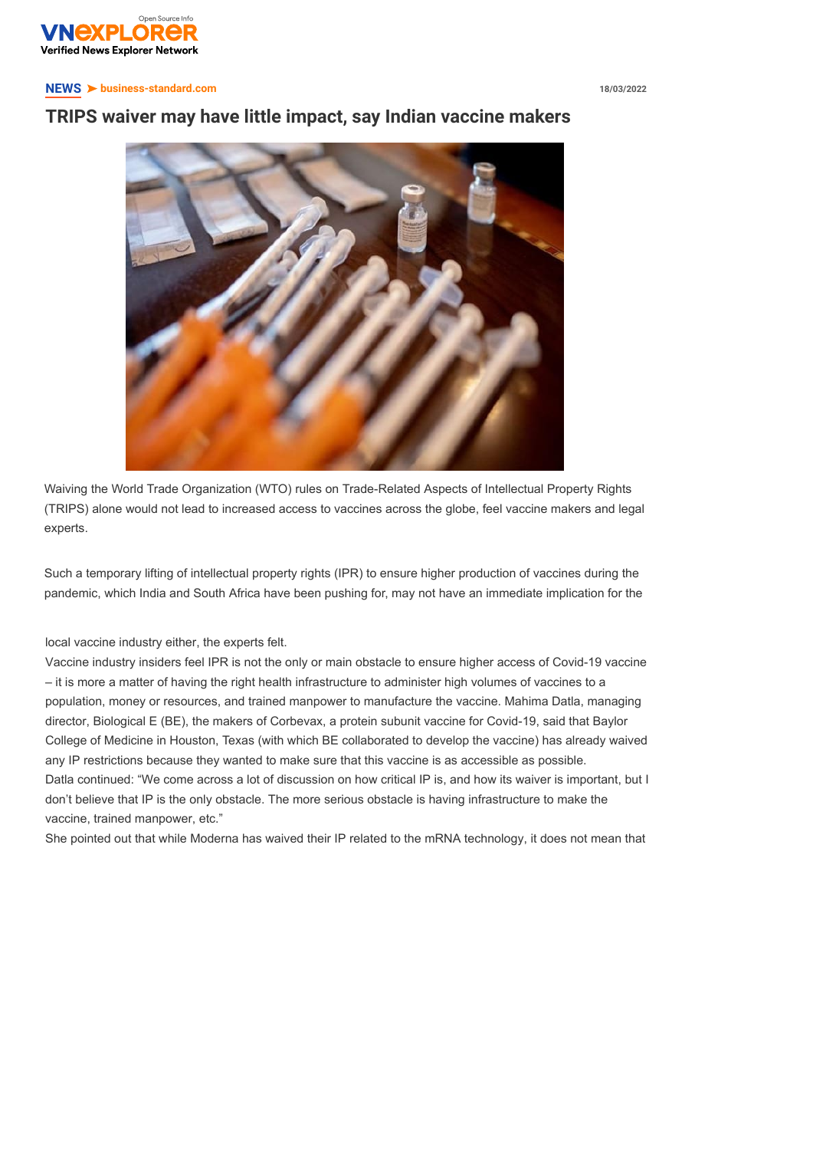

## **NEWS** ➤ **[business-standard.c](https://vnexplorer.net/)om 18/03/2022**

## **T[RIPS wai](https://vnexplorer.net/success)[ver may](https://vnexplorer.net/rich-dad) [have litt](https://vnexplorer.net/universe)[le impact, sa](https://vnexplorer.net/entrepreneur)[y India](https://vnexplorer.net/how-to)[n vaccin](https://vnexplorer.net/education)[e maker](https://vnexplorer.net/economy)[s](https://vnexplorer.net/life)**



Waiving the World Trade Organization (WTO) rules on Trade-Related Aspects of Intellectual Property Rights (TRIPS) alone would not lead to increased access to vaccines across the globe, feel vaccine makers and legal experts.

Such a temporary lifting of intellectual property rights (IPR) to ensure higher production of vaccines during the pandemic, which India and South Africa have been pushing for, may not have an immediate implication for the

local vaccine industry either, the experts felt.

Vaccine industry insiders feel IPR is not the only or main obstacle to ensure higher access of Covid-19 vaccine – it is more a matter of having the right health infrastructure to administer high volumes of vaccines to a population, money or resources, and trained manpower to manufacture the vaccine. Mahima Datla, managing director, Biological E (BE), the makers of Corbevax, a protein subunit vaccine for Covid-19, said that Baylor College of Medicine in Houston, Texas (with which BE collaborated to develop the vaccine) has already waived any IP restrictions because they wanted to make sure that this vaccine is as accessible as possible. Datla continued: "We come across a lot of discussion on how critical IP is, and how its waiver is important, but I don't believe that IP is the only obstacle. The more serious obstacle is having infrastructure to make the vaccine, trained manpower, etc."

She pointed out that while Moderna has waived their IP related to the mRNA technology, it does not mean that